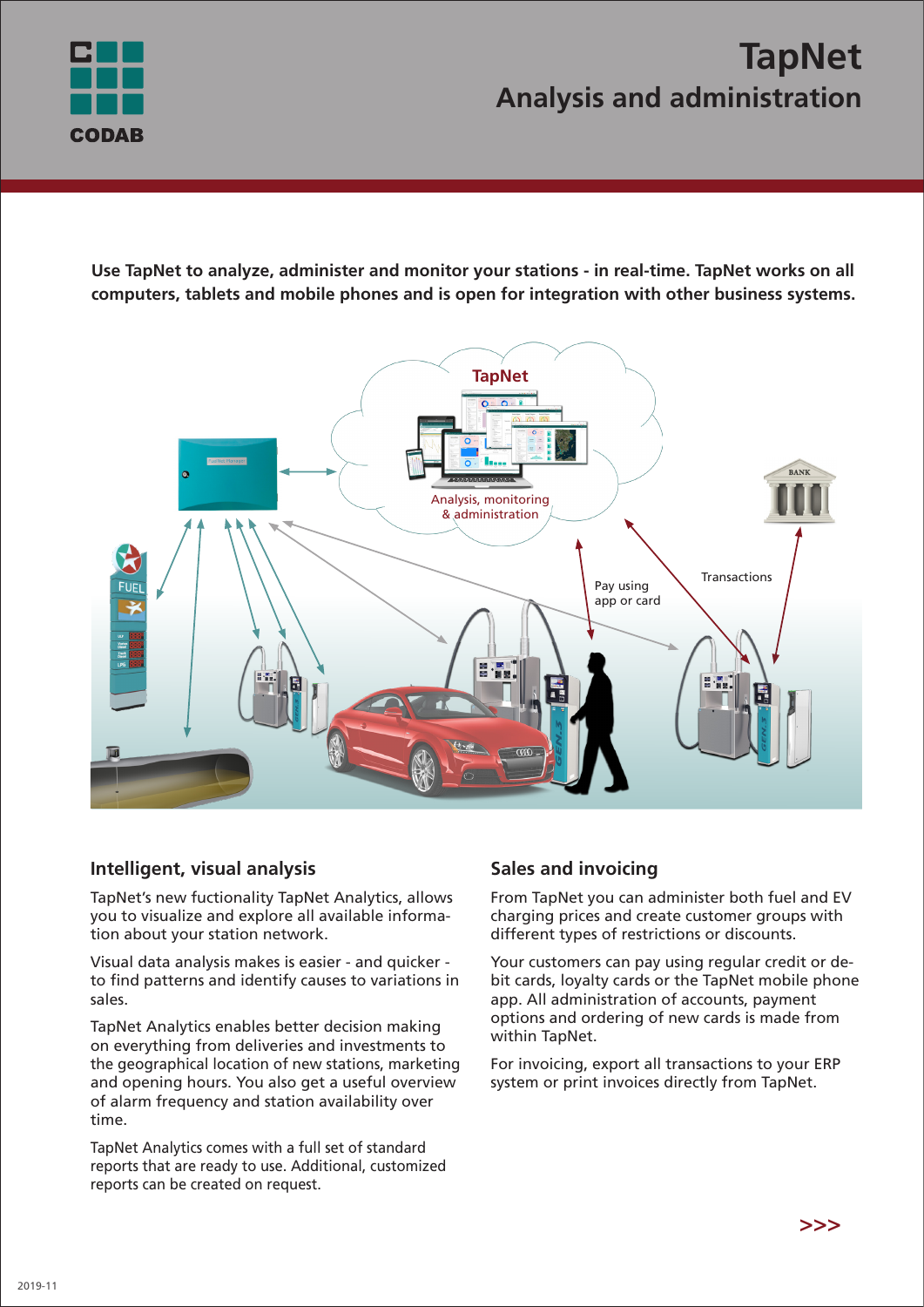

# **TapNet Analysis and administration**

**Use TapNet to analyze, administer and monitor your stations - in real-time. TapNet works on all computers, tablets and mobile phones and is open for integration with other business systems.**



# **Intelligent, visual analysis**

TapNet's new fuctionality TapNet Analytics, allows you to visualize and explore all available information about your station network.

Visual data analysis makes is easier - and quicker to find patterns and identify causes to variations in sales.

TapNet Analytics enables better decision making on everything from deliveries and investments to the geographical location of new stations, marketing and opening hours. You also get a useful overview of alarm frequency and station availability over time.

TapNet Analytics comes with a full set of standard reports that are ready to use. Additional, customized reports can be created on request.

# **Sales and invoicing**

From TapNet you can administer both fuel and EV charging prices and create customer groups with different types of restrictions or discounts.

Your customers can pay using regular credit or debit cards, loyalty cards or the TapNet mobile phone app. All administration of accounts, payment options and ordering of new cards is made from within TapNet.

For invoicing, export all transactions to your ERP system or print invoices directly from TapNet.